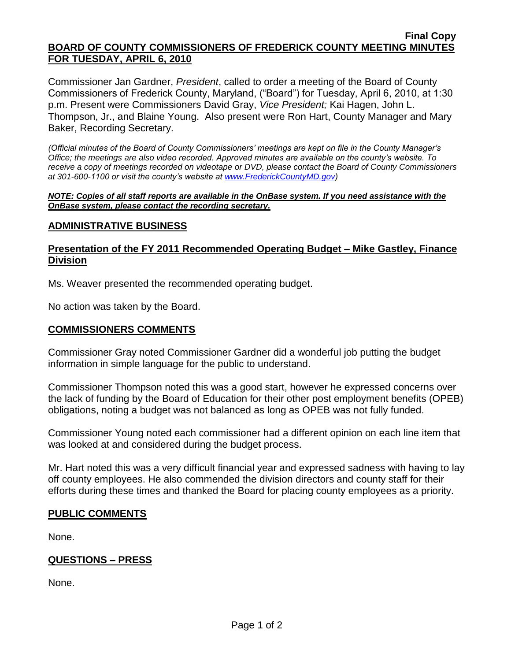#### **Final Copy BOARD OF COUNTY COMMISSIONERS OF FREDERICK COUNTY MEETING MINUTES FOR TUESDAY, APRIL 6, 2010**

Commissioner Jan Gardner, *President*, called to order a meeting of the Board of County Commissioners of Frederick County, Maryland, ("Board") for Tuesday, April 6, 2010, at 1:30 p.m. Present were Commissioners David Gray, *Vice President;* Kai Hagen, John L. Thompson, Jr., and Blaine Young. Also present were Ron Hart, County Manager and Mary Baker, Recording Secretary.

*(Official minutes of the Board of County Commissioners' meetings are kept on file in the County Manager's Office; the meetings are also video recorded. Approved minutes are available on the county's website. To receive a copy of meetings recorded on videotape or DVD, please contact the Board of County Commissioners at 301-600-1100 or visit the county's website at [www.FrederickCountyMD.gov\)](http://www.frederickcountymd.gov/)*

*NOTE: Copies of all staff reports are available in the OnBase system. If you need assistance with the OnBase system, please contact the recording secretary.*

#### **ADMINISTRATIVE BUSINESS**

#### **Presentation of the FY 2011 Recommended Operating Budget – Mike Gastley, Finance Division**

Ms. Weaver presented the recommended operating budget.

No action was taken by the Board.

#### **COMMISSIONERS COMMENTS**

Commissioner Gray noted Commissioner Gardner did a wonderful job putting the budget information in simple language for the public to understand.

Commissioner Thompson noted this was a good start, however he expressed concerns over the lack of funding by the Board of Education for their other post employment benefits (OPEB) obligations, noting a budget was not balanced as long as OPEB was not fully funded.

Commissioner Young noted each commissioner had a different opinion on each line item that was looked at and considered during the budget process.

Mr. Hart noted this was a very difficult financial year and expressed sadness with having to lay off county employees. He also commended the division directors and county staff for their efforts during these times and thanked the Board for placing county employees as a priority.

## **PUBLIC COMMENTS**

None.

## **QUESTIONS – PRESS**

None.